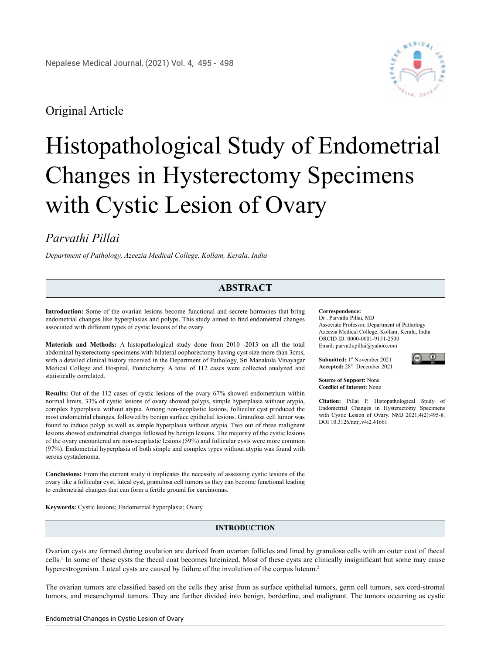# Original Article



# Histopathological Study of Endometrial Changes in Hysterectomy Specimens with Cystic Lesion of Ovary

# *Parvathi Pillai*

*Department of Pathology, Azeezia Medical College, Kollam, Kerala, India*

# **ABSTRACT**

**Introduction:** Some of the ovarian lesions become functional and secrete hormones that bring endometrial changes like hyperplasias and polyps. This study aimed to find endometrial changes associated with different types of cystic lesions of the ovary.

**Materials and Methods:** A histopathological study done from 2010 -2013 on all the total abdominal hysterectomy specimens with bilateral oophorectomy having cyst size more than 3cms, with a detailed clinical history received in the Department of Pathology, Sri Manakula Vinayagar Medical College and Hospital, Pondicherry. A total of 112 cases were collected analyzed and statistically correlated.

**Results:** Out of the 112 cases of cystic lesions of the ovary 67% showed endometrium within normal limits, 33% of cystic lesions of ovary showed polyps, simple hyperplasia without atypia, complex hyperplasia without atypia. Among non-neoplastic lesions, follicular cyst produced the most endometrial changes, followed by benign surface epithelial lesions. Granulosa cell tumor was found to induce polyp as well as simple hyperplasia without atypia. Two out of three malignant lesions showed endometrial changes followed by benign lesions. The majority of the cystic lesions of the ovary encountered are non-neoplastic lesions (59%) and follicular cysts were more common (97%). Endometrial hyperplasia of both simple and complex types without atypia was found with serous cystadenoma.

**Conclusions:** From the current study it implicates the necessity of assessing cystic lesions of the ovary like a follicular cyst, luteal cyst, granulosa cell tumors as they can become functional leading to endometrial changes that can form a fertile ground for carcinomas.

**Keywords:** Cystic lesions; Endometrial hyperplasia; Ovary

# **INTRODUCTION**

### Ovarian cysts are formed during ovulation are derived from ovarian follicles and lined by granulosa cells with an outer coat of thecal cells.1 In some of these cysts the thecal coat becomes luteinized. Most of these cysts are clinically insignificant but some may cause hyperestrogenism. Luteal cysts are caused by failure of the involution of the corpus luteum.<sup>2</sup>

The ovarian tumors are classified based on the cells they arise from as surface epithelial tumors, germ cell tumors, sex cord-stromal tumors, and mesenchymal tumors. They are further divided into benign, borderline, and malignant. The tumors occurring as cystic

#### **Correspondence:**

Dr . Parvathi Pillai, MD Associate Professor, Department of Pathology Azeezia Medical College, Kollam, Kerala, India ORCID ID: 0000-0001-9151-2500 Email: [parvathipillai@yahoo.com](mailto:parvathipillai@yahoo.com)

**Submitted:** 1st November 2021 **Accepted:** 28th December 2021



**Source of Support:** None **Conflict of Interest:** None

**Citation:** Pillai P. Histopathological Study of Endometrial Changes in Hysterectomy Specimens with Cystic Lesion of Ovary. NMJ 2021;4(2):495-8. DOI 10.3126/nmj.v4i2.41661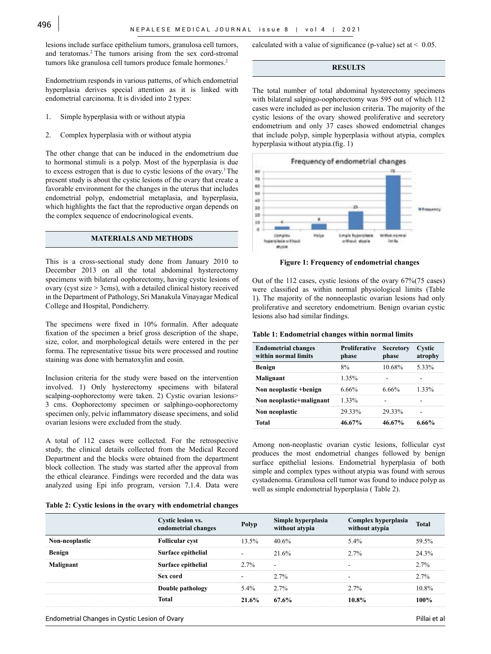lesions include surface epithelium tumors, granulosa cell tumors, and teratomas.2 The tumors arising from the sex cord-stromal tumors like granulosa cell tumors produce female hormones.<sup>2</sup>

Endometrium responds in various patterns, of which endometrial hyperplasia derives special attention as it is linked with endometrial carcinoma. It is divided into 2 types:

- 1. Simple hyperplasia with or without atypia
- 2. Complex hyperplasia with or without atypia

The other change that can be induced in the endometrium due to hormonal stimuli is a polyp. Most of the hyperplasia is due to excess estrogen that is due to cystic lesions of the ovary.3 The present study is about the cystic lesions of the ovary that create a favorable environment for the changes in the uterus that includes endometrial polyp, endometrial metaplasia, and hyperplasia, which highlights the fact that the reproductive organ depends on the complex sequence of endocrinological events.

## **MATERIALS AND METHODS**

This is a cross-sectional study done from January 2010 to December 2013 on all the total abdominal hysterectomy specimens with bilateral oophorectomy, having cystic lesions of ovary (cyst size > 3cms), with a detailed clinical history received in the Department of Pathology, Sri Manakula Vinayagar Medical College and Hospital, Pondicherry.

The specimens were fixed in 10% formalin. After adequate fixation of the specimen a brief gross description of the shape, size, color, and morphological details were entered in the per forma. The representative tissue bits were processed and routine staining was done with hematoxylin and eosin.

Inclusion criteria for the study were based on the intervention involved. 1) Only hysterectomy specimens with bilateral scalping-oophorectomy were taken. 2) Cystic ovarian lesions> 3 cms. Oophorectomy specimen or salphingo-oophorectomy specimen only, pelvic inflammatory disease specimens, and solid ovarian lesions were excluded from the study.

A total of 112 cases were collected. For the retrospective study, the clinical details collected from the Medical Record Department and the blocks were obtained from the department block collection. The study was started after the approval from the ethical clearance. Findings were recorded and the data was analyzed using Epi info program, version 7.1.4. Data were

|  |  | Table 2: Cystic lesions in the ovary with endometrial changes |  |
|--|--|---------------------------------------------------------------|--|
|  |  |                                                               |  |

calculated with a value of significance (p-value) set at  $\leq 0.05$ .

### **RESULTS**

The total number of total abdominal hysterectomy specimens with bilateral salpingo-oophorectomy was 595 out of which 112 cases were included as per inclusion criteria. The majority of the cystic lesions of the ovary showed proliferative and secretory endometrium and only 37 cases showed endometrial changes that include polyp, simple hyperplasia without atypia, complex hyperplasia without atypia.(fig. 1)



 **Figure 1: Frequency of endometrial changes**

Out of the 112 cases, cystic lesions of the ovary 67%(75 cases) were classified as within normal physiological limits (Table 1). The majority of the nonneoplastic ovarian lesions had only proliferative and secretory endometrium. Benign ovarian cystic lesions also had similar findings.

#### **Table 1: Endometrial changes within normal limits**

| <b>Endometrial changes</b><br>within normal limits | <b>Proliferative Secretory</b><br>phase | phase              | Cystic<br>atrophy |
|----------------------------------------------------|-----------------------------------------|--------------------|-------------------|
| <b>Benign</b>                                      |                                         | $10.68\%$ 5.33%    |                   |
| Malignant                                          | 1 35%                                   |                    |                   |
| Non neoplastic +benign                             | 6.66%                                   | 6.66%              | 133%              |
| Non neoplastic+malignant                           | 1.33%                                   |                    |                   |
| Non neoplastic                                     | 29.33%                                  | 29 33%             |                   |
| Total                                              | 46.67%                                  | $46.67\%$ $6.66\%$ |                   |

Among non-neoplastic ovarian cystic lesions, follicular cyst produces the most endometrial changes followed by benign surface epithelial lesions. Endometrial hyperplasia of both simple and complex types without atypia was found with serous cystadenoma. Granulosa cell tumor was found to induce polyp as well as simple endometrial hyperplasia ( Table 2).

|                | <b>Cystic lesion vs.</b><br>endometrial changes | Polyp    | Simple hyperplasia<br>without atypia | Complex hyperplasia<br>without atypia | Total |
|----------------|-------------------------------------------------|----------|--------------------------------------|---------------------------------------|-------|
| Non-neoplastic | <b>Follicular cyst</b>                          | $13.5\%$ | $40.6\%$                             | $5.4\%$                               | 59.5% |
| Benign         | Surface epithelial                              |          | 21.6%                                | 2.7%                                  | 24.3% |
| Malignant      | Surface epithelial                              | $2.7\%$  |                                      |                                       | 2.7%  |
|                | Sex cord                                        |          | $2.7\%$                              |                                       | 2.7%  |
|                | Double pathology                                | $5.4\%$  | $2.7\%$                              | 2.7%                                  | 10.8% |
|                | Total                                           | 21.6%    | 67.6%                                | $10.8\%$                              | 100%  |

Endometrial Changes in Cystic Lesion of Ovary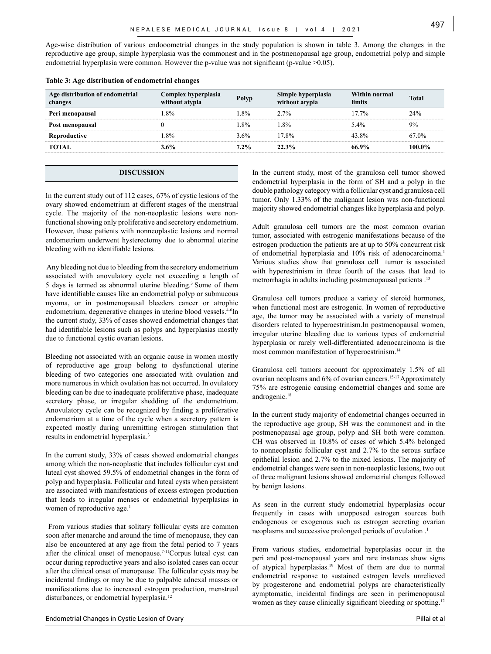Age-wise distribution of various endooometrial changes in the study population is shown in table 3. Among the changes in the reproductive age group, simple hyperplasia was the commonest and in the postmenopausal age group, endometrial polyp and simple endometrial hyperplasia were common. However the p-value was not significant (p-value  $>0.05$ ).

| Age distribution of endometrial<br>changes | Complex hyperplasia<br>without atypia | Polyp   | Simple hyperplasia<br>without atypia | Within normal<br>limits | <b>Total</b> |
|--------------------------------------------|---------------------------------------|---------|--------------------------------------|-------------------------|--------------|
| Peri menopausal                            | 8%                                    | $1.8\%$ | $2.7\%$                              | $17.7\%$                | 24%          |
| Post menopausal                            |                                       | 18%     | $8\%$                                | $5.4\%$                 | 9%           |
| Reproductive                               | 8%                                    | 3.6%    | $17.8\%$                             | 43.8%                   | 67.0%        |
| <b>TOTAL</b>                               | 3.6%                                  | $7.2\%$ | 22.3%                                | 66.9%                   | 100.0%       |

#### **Table 3: Age distribution of endometrial changes**

#### **DISCUSSION**

In the current study out of 112 cases, 67% of cystic lesions of the ovary showed endometrium at different stages of the menstrual cycle. The majority of the non-neoplastic lesions were nonfunctional showing only proliferative and secretory endometrium. However, these patients with nonneoplastic lesions and normal endometrium underwent hysterectomy due to abnormal uterine bleeding with no identifiable lesions.

 Any bleeding not due to bleeding from the secretory endometrium associated with anovulatory cycle not exceeding a length of 5 days is termed as abnormal uterine bleeding.3 Some of them have identifiable causes like an endometrial polyp or submucous myoma, or in postmenopausal bleeders cancer or atrophic endometrium, degenerative changes in uterine blood vessels.<sup>4-6</sup>In the current study, 33% of cases showed endometrial changes that had identifiable lesions such as polyps and hyperplasias mostly due to functional cystic ovarian lesions.

Bleeding not associated with an organic cause in women mostly of reproductive age group belong to dysfunctional uterine bleeding of two categories one associated with ovulation and more numerous in which ovulation has not occurred. In ovulatory bleeding can be due to inadequate proliferative phase, inadequate secretory phase, or irregular shedding of the endometrium. Anovulatory cycle can be recognized by finding a proliferative endometrium at a time of the cycle when a secretory pattern is expected mostly during unremitting estrogen stimulation that results in endometrial hyperplasia.3

In the current study, 33% of cases showed endometrial changes among which the non-neoplastic that includes follicular cyst and luteal cyst showed 59.5% of endometrial changes in the form of polyp and hyperplasia. Follicular and luteal cysts when persistent are associated with manifestations of excess estrogen production that leads to irregular menses or endometrial hyperplasias in women of reproductive age.<sup>1</sup>

 From various studies that solitary follicular cysts are common soon after menarche and around the time of menopause, they can also be encountered at any age from the fetal period to 7 years after the clinical onset of menopause.7-11Corpus luteal cyst can occur during reproductive years and also isolated cases can occur after the clinical onset of menopause. The follicular cysts may be incidental findings or may be due to palpable adnexal masses or manifestations due to increased estrogen production, menstrual disturbances, or endometrial hyperplasia.<sup>12</sup>

In the current study, most of the granulosa cell tumor showed endometrial hyperplasia in the form of SH and a polyp in the double pathology category with a follicular cyst and granulosa cell tumor. Only 1.33% of the malignant lesion was non-functional majority showed endometrial changes like hyperplasia and polyp.

Adult granulosa cell tumors are the most common ovarian tumor, associated with estrogenic manifestations because of the estrogen production the patients are at up to 50% concurrent risk of endometrial hyperplasia and 10% risk of adenocarcinoma.<sup>1</sup> Various studies show that granulosa cell tumor is associated with hyperestrinism in three fourth of the cases that lead to metrorrhagia in adults including postmenopausal patients .13

Granulosa cell tumors produce a variety of steroid hormones, when functional most are estrogenic. In women of reproductive age, the tumor may be associated with a variety of menstrual disorders related to hyperoestrinism.In postmenopausal women, irregular uterine bleeding due to various types of endometrial hyperplasia or rarely well-differentiated adenocarcinoma is the most common manifestation of hyperoestrinism.<sup>14</sup>

Granulosa cell tumors account for approximately 1.5% of all ovarian neoplasms and 6% of ovarian cancers.15-17 Approximately 75% are estrogenic causing endometrial changes and some are androgenic.<sup>18</sup>

In the current study majority of endometrial changes occurred in the reproductive age group, SH was the commonest and in the postmenopausal age group, polyp and SH both were common. CH was observed in 10.8% of cases of which 5.4% belonged to nonneoplastic follicular cyst and 2.7% to the serous surface epithelial lesion and 2.7% to the mixed lesions. The majority of endometrial changes were seen in non-neoplastic lesions, two out of three malignant lesions showed endometrial changes followed by benign lesions.

As seen in the current study endometrial hyperplasias occur frequently in cases with unopposed estrogen sources both endogenous or exogenous such as estrogen secreting ovarian neoplasms and successive prolonged periods of ovulation .1

From various studies, endometrial hyperplasias occur in the peri and post-menopausal years and rare instances show signs of atypical hyperplasias.19 Most of them are due to normal endometrial response to sustained estrogen levels unrelieved by progesterone and endometrial polyps are characteristically aymptomatic, incidental findings are seen in perimenopausal women as they cause clinically significant bleeding or spotting.<sup>12</sup>